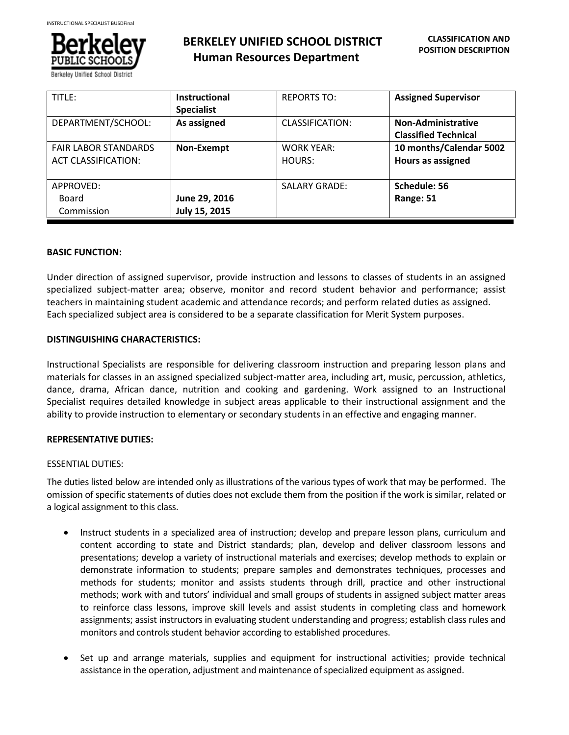

**BERKELEY UNIFIED SCHOOL DISTRICT Human Resources Department**

| TITLE:                                                    | <b>Instructional</b><br><b>Specialist</b> | <b>REPORTS TO:</b>          | <b>Assigned Supervisor</b>                               |
|-----------------------------------------------------------|-------------------------------------------|-----------------------------|----------------------------------------------------------|
| DEPARTMENT/SCHOOL:                                        | As assigned                               | CLASSIFICATION:             | <b>Non-Administrative</b><br><b>Classified Technical</b> |
| <b>FAIR LABOR STANDARDS</b><br><b>ACT CLASSIFICATION:</b> | Non-Exempt                                | <b>WORK YEAR:</b><br>HOURS: | 10 months/Calendar 5002<br>Hours as assigned             |
| APPROVED:<br>Board<br>Commission                          | June 29, 2016<br>July 15, 2015            | <b>SALARY GRADE:</b>        | Schedule: 56<br>Range: 51                                |

## **BASIC FUNCTION:**

Under direction of assigned supervisor, provide instruction and lessons to classes of students in an assigned specialized subject-matter area; observe, monitor and record student behavior and performance; assist teachers in maintaining student academic and attendance records; and perform related duties as assigned. Each specialized subject area is considered to be a separate classification for Merit System purposes.

## **DISTINGUISHING CHARACTERISTICS:**

Instructional Specialists are responsible for delivering classroom instruction and preparing lesson plans and materials for classes in an assigned specialized subject-matter area, including art, music, percussion, athletics, dance, drama, African dance, nutrition and cooking and gardening. Work assigned to an Instructional Specialist requires detailed knowledge in subject areas applicable to their instructional assignment and the ability to provide instruction to elementary or secondary students in an effective and engaging manner.

## **REPRESENTATIVE DUTIES:**

## ESSENTIAL DUTIES:

The duties listed below are intended only as illustrations of the various types of work that may be performed. The omission of specific statements of duties does not exclude them from the position if the work is similar, related or a logical assignment to this class.

- Instruct students in a specialized area of instruction; develop and prepare lesson plans, curriculum and content according to state and District standards; plan, develop and deliver classroom lessons and presentations; develop a variety of instructional materials and exercises; develop methods to explain or demonstrate information to students; prepare samples and demonstrates techniques, processes and methods for students; monitor and assists students through drill, practice and other instructional methods; work with and tutors' individual and small groups of students in assigned subject matter areas to reinforce class lessons, improve skill levels and assist students in completing class and homework assignments; assist instructors in evaluating student understanding and progress; establish class rules and monitors and controls student behavior according to established procedures.
- Set up and arrange materials, supplies and equipment for instructional activities; provide technical assistance in the operation, adjustment and maintenance of specialized equipment as assigned.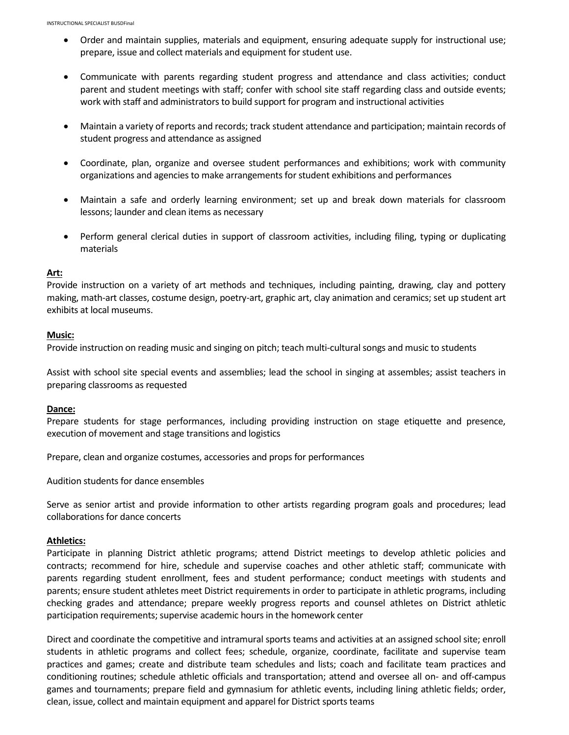- Order and maintain supplies, materials and equipment, ensuring adequate supply for instructional use; prepare, issue and collect materials and equipment for student use.
- Communicate with parents regarding student progress and attendance and class activities; conduct parent and student meetings with staff; confer with school site staff regarding class and outside events; work with staff and administrators to build support for program and instructional activities
- Maintain a variety of reports and records; track student attendance and participation; maintain records of student progress and attendance as assigned
- Coordinate, plan, organize and oversee student performances and exhibitions; work with community organizations and agencies to make arrangements for student exhibitions and performances
- Maintain a safe and orderly learning environment; set up and break down materials for classroom lessons; launder and clean items as necessary
- Perform general clerical duties in support of classroom activities, including filing, typing or duplicating materials

### **Art:**

Provide instruction on a variety of art methods and techniques, including painting, drawing, clay and pottery making, math-art classes, costume design, poetry-art, graphic art, clay animation and ceramics; set up student art exhibits at local museums.

#### **Music:**

Provide instruction on reading music and singing on pitch; teach multi-cultural songs and music to students

Assist with school site special events and assemblies; lead the school in singing at assembles; assist teachers in preparing classrooms as requested

#### **Dance:**

Prepare students for stage performances, including providing instruction on stage etiquette and presence, execution of movement and stage transitions and logistics

Prepare, clean and organize costumes, accessories and props for performances

Audition students for dance ensembles

Serve as senior artist and provide information to other artists regarding program goals and procedures; lead collaborations for dance concerts

#### **Athletics:**

Participate in planning District athletic programs; attend District meetings to develop athletic policies and contracts; recommend for hire, schedule and supervise coaches and other athletic staff; communicate with parents regarding student enrollment, fees and student performance; conduct meetings with students and parents; ensure student athletes meet District requirements in order to participate in athletic programs, including checking grades and attendance; prepare weekly progress reports and counsel athletes on District athletic participation requirements; supervise academic hours in the homework center

Direct and coordinate the competitive and intramural sports teams and activities at an assigned school site; enroll students in athletic programs and collect fees; schedule, organize, coordinate, facilitate and supervise team practices and games; create and distribute team schedules and lists; coach and facilitate team practices and conditioning routines; schedule athletic officials and transportation; attend and oversee all on- and off-campus games and tournaments; prepare field and gymnasium for athletic events, including lining athletic fields; order, clean, issue, collect and maintain equipment and apparel for District sports teams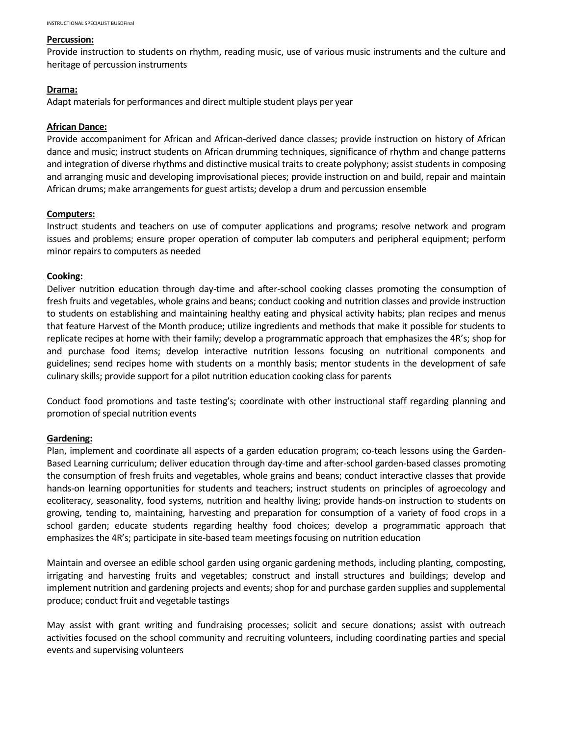#### **Percussion:**

Provide instruction to students on rhythm, reading music, use of various music instruments and the culture and heritage of percussion instruments

### **Drama:**

Adapt materials for performances and direct multiple student plays per year

### **African Dance:**

Provide accompaniment for African and African-derived dance classes; provide instruction on history of African dance and music; instruct students on African drumming techniques, significance of rhythm and change patterns and integration of diverse rhythms and distinctive musical traits to create polyphony; assist students in composing and arranging music and developing improvisational pieces; provide instruction on and build, repair and maintain African drums; make arrangements for guest artists; develop a drum and percussion ensemble

### **Computers:**

Instruct students and teachers on use of computer applications and programs; resolve network and program issues and problems; ensure proper operation of computer lab computers and peripheral equipment; perform minor repairs to computers as needed

### **Cooking:**

Deliver nutrition education through day-time and after-school cooking classes promoting the consumption of fresh fruits and vegetables, whole grains and beans; conduct cooking and nutrition classes and provide instruction to students on establishing and maintaining healthy eating and physical activity habits; plan recipes and menus that feature Harvest of the Month produce; utilize ingredients and methods that make it possible for students to replicate recipes at home with their family; develop a programmatic approach that emphasizes the 4R's; shop for and purchase food items; develop interactive nutrition lessons focusing on nutritional components and guidelines; send recipes home with students on a monthly basis; mentor students in the development of safe culinary skills; provide support for a pilot nutrition education cooking class for parents

Conduct food promotions and taste testing's; coordinate with other instructional staff regarding planning and promotion of special nutrition events

## **Gardening:**

Plan, implement and coordinate all aspects of a garden education program; co-teach lessons using the Garden-Based Learning curriculum; deliver education through day-time and after-school garden-based classes promoting the consumption of fresh fruits and vegetables, whole grains and beans; conduct interactive classes that provide hands-on learning opportunities for students and teachers; instruct students on principles of agroecology and ecoliteracy, seasonality, food systems, nutrition and healthy living; provide hands-on instruction to students on growing, tending to, maintaining, harvesting and preparation for consumption of a variety of food crops in a school garden; educate students regarding healthy food choices; develop a programmatic approach that emphasizes the 4R's; participate in site-based team meetings focusing on nutrition education

Maintain and oversee an edible school garden using organic gardening methods, including planting, composting, irrigating and harvesting fruits and vegetables; construct and install structures and buildings; develop and implement nutrition and gardening projects and events; shop for and purchase garden supplies and supplemental produce; conduct fruit and vegetable tastings

May assist with grant writing and fundraising processes; solicit and secure donations; assist with outreach activities focused on the school community and recruiting volunteers, including coordinating parties and special events and supervising volunteers